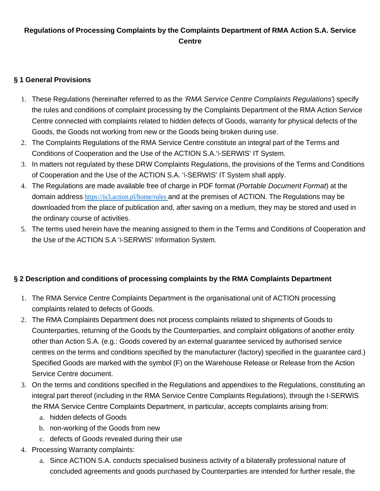## **Regulations of Processing Complaints by the Complaints Department of RMA Action S.A. Service Centre**

### **§ 1 General Provisions**

- 1. These Regulations (hereinafter referred to as the 'RMA Service Centre Complaints Regulations') specify the rules and conditions of complaint processing by the Complaints Department of the RMA Action Service Centre connected with complaints related to hidden defects of Goods, warranty for physical defects of the Goods, the Goods not working from new or the Goods being broken during use.
- 2. The Complaints Regulations of the RMA Service Centre constitute an integral part of the Terms and Conditions of Cooperation and the Use of the ACTION S.A.'I-SERWIS' IT System.
- 3. In matters not regulated by these DRW Complaints Regulations, the provisions of the Terms and Conditions of Cooperation and the Use of the ACTION S.A. 'I-SERWIS' IT System shall apply.
- 4. The Regulations are made available free of charge in PDF format (Portable Document Format) at the domain address https://is3.action.pl/home/rules and at the premises of ACTION. The Regulations may be downloaded from the place of publication and, after saving on a medium, they may be stored and used in the ordinary course of activities.
- 5. The terms used herein have the meaning assigned to them in the Terms and Conditions of Cooperation and the Use of the ACTION S.A 'I-SERWIS' Information System.

# **§ 2 Description and conditions of processing complaints by the RMA Complaints Department**

- 1. The RMA Service Centre Complaints Department is the organisational unit of ACTION processing complaints related to defects of Goods.
- 2. The RMA Complaints Department does not process complaints related to shipments of Goods to Counterparties, returning of the Goods by the Counterparties, and complaint obligations of another entity other than Action S.A. (e.g.: Goods covered by an external guarantee serviced by authorised service centres on the terms and conditions specified by the manufacturer (factory) specified in the guarantee card.) Specified Goods are marked with the symbol (F) on the Warehouse Release or Release from the Action Service Centre document.
- 3. On the terms and conditions specified in the Regulations and appendixes to the Regulations, constituting an integral part thereof (including in the RMA Service Centre Complaints Regulations), through the I-SERWIS the RMA Service Centre Complaints Department, in particular, accepts complaints arising from:
	- a. hidden defects of Goods
	- b. non-working of the Goods from new
	- c. defects of Goods revealed during their use
- 4. Processing Warranty complaints:
	- a. Since ACTION S.A. conducts specialised business activity of a bilaterally professional nature of concluded agreements and goods purchased by Counterparties are intended for further resale, the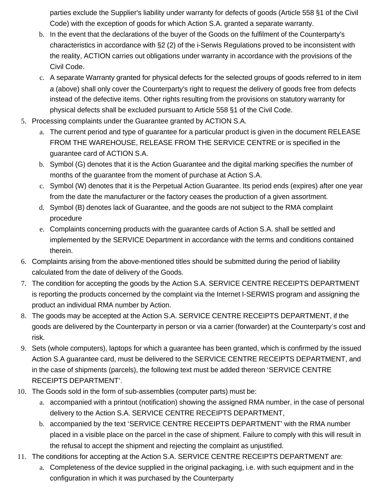parties exclude the Supplier's liability under warranty for defects of goods (Article 558 §1 of the Civil Code) with the exception of goods for which Action S.A. granted a separate warranty.

- b. In the event that the declarations of the buyer of the Goods on the fulfilment of the Counterparty's characteristics in accordance with §2 (2) of the i-Serwis Regulations proved to be inconsistent with the reality, ACTION carries out obligations under warranty in accordance with the provisions of the Civil Code.
- c. A separate Warranty granted for physical defects for the selected groups of goods referred to in item a (above) shall only cover the Counterparty's right to request the delivery of goods free from defects instead of the defective items. Other rights resulting from the provisions on statutory warranty for physical defects shall be excluded pursuant to Article 558 §1 of the Civil Code.
- 5. Processing complaints under the Guarantee granted by ACTION S.A.
	- a. The current period and type of guarantee for a particular product is given in the document RELEASE FROM THE WAREHOUSE, RELEASE FROM THE SERVICE CENTRE or is specified in the guarantee card of ACTION S.A.
	- b. Symbol (G) denotes that it is the Action Guarantee and the digital marking specifies the number of months of the guarantee from the moment of purchase at Action S.A.
	- c. Symbol (W) denotes that it is the Perpetual Action Guarantee. Its period ends (expires) after one year from the date the manufacturer or the factory ceases the production of a given assortment.
	- d. Symbol (B) denotes lack of Guarantee, and the goods are not subject to the RMA complaint procedure
	- e. Complaints concerning products with the guarantee cards of Action S.A. shall be settled and implemented by the SERVICE Department in accordance with the terms and conditions contained therein.
- 6. Complaints arising from the above-mentioned titles should be submitted during the period of liability calculated from the date of delivery of the Goods.
- 7. The condition for accepting the goods by the Action S.A. SERVICE CENTRE RECEIPTS DEPARTMENT is reporting the products concerned by the complaint via the Internet I-SERWIS program and assigning the product an individual RMA number by Action.
- 8. The goods may be accepted at the Action S.A. SERVICE CENTRE RECEIPTS DEPARTMENT, if the goods are delivered by the Counterparty in person or via a carrier (forwarder) at the Counterparty's cost and risk.
- 9. Sets (whole computers), laptops for which a guarantee has been granted, which is confirmed by the issued Action S.A guarantee card, must be delivered to the SERVICE CENTRE RECEIPTS DEPARTMENT, and in the case of shipments (parcels), the following text must be added thereon 'SERVICE CENTRE RECEIPTS DEPARTMENT'.
- 10. The Goods sold in the form of sub-assemblies (computer parts) must be:
	- a. accompanied with a printout (notification) showing the assigned RMA number, in the case of personal delivery to the Action S.A. SERVICE CENTRE RECEIPTS DEPARTMENT,
	- b. accompanied by the text 'SERVICE CENTRE RECEIPTS DEPARTMENT' with the RMA number placed in a visible place on the parcel in the case of shipment. Failure to comply with this will result in the refusal to accept the shipment and rejecting the complaint as unjustified.
- 11. The conditions for accepting at the Action S.A. SERVICE CENTRE RECEIPTS DEPARTMENT are:
	- a. Completeness of the device supplied in the original packaging, i.e. with such equipment and in the configuration in which it was purchased by the Counterparty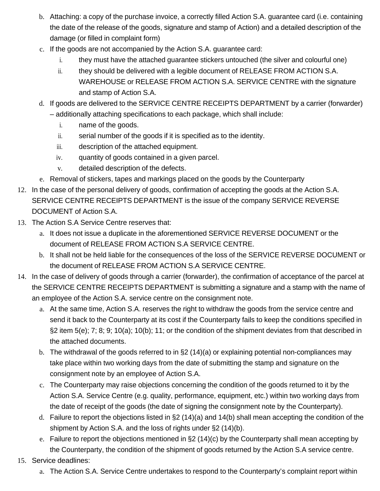- b. Attaching: a copy of the purchase invoice, a correctly filled Action S.A. guarantee card (i.e. containing the date of the release of the goods, signature and stamp of Action) and a detailed description of the damage (or filled in complaint form)
- c. If the goods are not accompanied by the Action S.A. guarantee card:
	- i. they must have the attached guarantee stickers untouched (the silver and colourful one)
	- ii. they should be delivered with a legible document of RELEASE FROM ACTION S.A. WAREHOUSE or RELEASE FROM ACTION S.A. SERVICE CENTRE with the signature and stamp of Action S.A.
- d. If goods are delivered to the SERVICE CENTRE RECEIPTS DEPARTMENT by a carrier (forwarder) – additionally attaching specifications to each package, which shall include:
	- i. name of the goods.
	- ii. serial number of the goods if it is specified as to the identity.
	- iii. description of the attached equipment.
	- iv. quantity of goods contained in a given parcel.
	- v. detailed description of the defects.
- e. Removal of stickers, tapes and markings placed on the goods by the Counterparty
- 12. In the case of the personal delivery of goods, confirmation of accepting the goods at the Action S.A. SERVICE CENTRE RECEIPTS DEPARTMENT is the issue of the company SERVICE REVERSE DOCUMENT of Action S.A.
- 13. The Action S.A Service Centre reserves that:
	- a. It does not issue a duplicate in the aforementioned SERVICE REVERSE DOCUMENT or the document of RELEASE FROM ACTION S.A SERVICE CENTRE.
	- b. It shall not be held liable for the consequences of the loss of the SERVICE REVERSE DOCUMENT or the document of RELEASE FROM ACTION S.A SERVICE CENTRE.
- 14. In the case of delivery of goods through a carrier (forwarder), the confirmation of acceptance of the parcel at the SERVICE CENTRE RECEIPTS DEPARTMENT is submitting a signature and a stamp with the name of an employee of the Action S.A. service centre on the consignment note.
	- a. At the same time, Action S.A. reserves the right to withdraw the goods from the service centre and send it back to the Counterparty at its cost if the Counterparty fails to keep the conditions specified in §2 item 5(e); 7; 8; 9; 10(a); 10(b); 11; or the condition of the shipment deviates from that described in the attached documents.
	- b. The withdrawal of the goods referred to in §2 (14)(a) or explaining potential non-compliances may take place within two working days from the date of submitting the stamp and signature on the consignment note by an employee of Action S.A.
	- c. The Counterparty may raise objections concerning the condition of the goods returned to it by the Action S.A. Service Centre (e.g. quality, performance, equipment, etc.) within two working days from the date of receipt of the goods (the date of signing the consignment note by the Counterparty).
	- d. Failure to report the objections listed in §2 (14)(a) and 14(b) shall mean accepting the condition of the shipment by Action S.A. and the loss of rights under §2 (14)(b).
	- e. Failure to report the objections mentioned in §2 (14)(c) by the Counterparty shall mean accepting by the Counterparty, the condition of the shipment of goods returned by the Action S.A service centre.
- 15. Service deadlines:
	- a. The Action S.A. Service Centre undertakes to respond to the Counterparty's complaint report within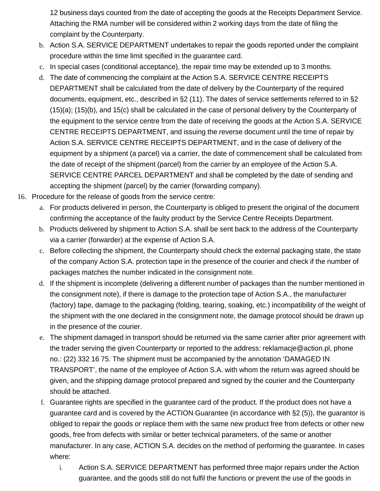12 business days counted from the date of accepting the goods at the Receipts Department Service. Attaching the RMA number will be considered within 2 working days from the date of filing the complaint by the Counterparty.

- b. Action S.A. SERVICE DEPARTMENT undertakes to repair the goods reported under the complaint procedure within the time limit specified in the guarantee card.
- c. In special cases (conditional acceptance), the repair time may be extended up to 3 months.
- d. The date of commencing the complaint at the Action S.A. SERVICE CENTRE RECEIPTS DEPARTMENT shall be calculated from the date of delivery by the Counterparty of the required documents, equipment, etc., described in §2 (11). The dates of service settlements referred to in §2 (15)(a); (15)(b), and 15(c) shall be calculated in the case of personal delivery by the Counterparty of the equipment to the service centre from the date of receiving the goods at the Action S.A. SERVICE CENTRE RECEIPTS DEPARTMENT, and issuing the reverse document until the time of repair by Action S.A. SERVICE CENTRE RECEIPTS DEPARTMENT, and in the case of delivery of the equipment by a shipment (a parcel) via a carrier, the date of commencement shall be calculated from the date of receipt of the shipment (parcel) from the carrier by an employee of the Action S.A. SERVICE CENTRE PARCEL DEPARTMENT and shall be completed by the date of sending and accepting the shipment (parcel) by the carrier (forwarding company).
- 16. Procedure for the release of goods from the service centre:
	- a. For products delivered in person, the Counterparty is obliged to present the original of the document confirming the acceptance of the faulty product by the Service Centre Receipts Department.
	- b. Products delivered by shipment to Action S.A. shall be sent back to the address of the Counterparty via a carrier (forwarder) at the expense of Action S.A.
	- c. Before collecting the shipment, the Counterparty should check the external packaging state, the state of the company Action S.A. protection tape in the presence of the courier and check if the number of packages matches the number indicated in the consignment note.
	- d. If the shipment is incomplete (delivering a different number of packages than the number mentioned in the consignment note), if there is damage to the protection tape of Action S.A., the manufacturer (factory) tape, damage to the packaging (folding, tearing, soaking, etc.) incompatibility of the weight of the shipment with the one declared in the consignment note, the damage protocol should be drawn up in the presence of the courier.
	- e. The shipment damaged in transport should be returned via the same carrier after prior agreement with the trader serving the given Counterparty or reported to the address: reklamacje@action.pl, phone no.: (22) 332 16 75. The shipment must be accompanied by the annotation 'DAMAGED IN TRANSPORT', the name of the employee of Action S.A. with whom the return was agreed should be given, and the shipping damage protocol prepared and signed by the courier and the Counterparty should be attached.
	- f. Guarantee rights are specified in the guarantee card of the product. If the product does not have a guarantee card and is covered by the ACTION Guarantee (in accordance with §2 (5)), the guarantor is obliged to repair the goods or replace them with the same new product free from defects or other new goods, free from defects with similar or better technical parameters, of the same or another manufacturer. In any case, ACTION S.A. decides on the method of performing the guarantee. In cases where:
		- i. Action S.A. SERVICE DEPARTMENT has performed three major repairs under the Action guarantee, and the goods still do not fulfil the functions or prevent the use of the goods in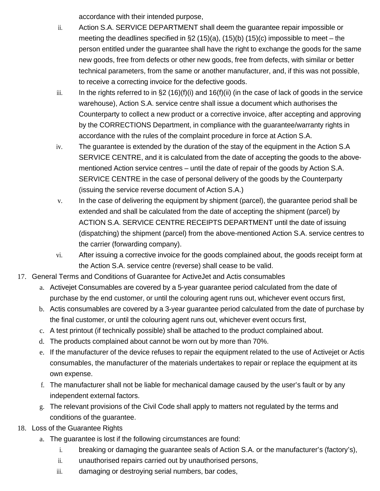accordance with their intended purpose,

- ii. Action S.A. SERVICE DEPARTMENT shall deem the guarantee repair impossible or meeting the deadlines specified in §2 (15)(a), (15)(b) (15)(c) impossible to meet – the person entitled under the guarantee shall have the right to exchange the goods for the same new goods, free from defects or other new goods, free from defects, with similar or better technical parameters, from the same or another manufacturer, and, if this was not possible, to receive a correcting invoice for the defective goods.
- iii. In the rights referred to in §2 (16)(f)(i) and 16(f)(ii) (in the case of lack of goods in the service warehouse), Action S.A. service centre shall issue a document which authorises the Counterparty to collect a new product or a corrective invoice, after accepting and approving by the CORRECTIONS Department, in compliance with the guarantee/warranty rights in accordance with the rules of the complaint procedure in force at Action S.A.
- iv. The guarantee is extended by the duration of the stay of the equipment in the Action S.A SERVICE CENTRE, and it is calculated from the date of accepting the goods to the abovementioned Action service centres – until the date of repair of the goods by Action S.A. SERVICE CENTRE in the case of personal delivery of the goods by the Counterparty (issuing the service reverse document of Action S.A.)
- v. In the case of delivering the equipment by shipment (parcel), the guarantee period shall be extended and shall be calculated from the date of accepting the shipment (parcel) by ACTION S.A. SERVICE CENTRE RECEIPTS DEPARTMENT until the date of issuing (dispatching) the shipment (parcel) from the above-mentioned Action S.A. service centres to the carrier (forwarding company).
- vi. After issuing a corrective invoice for the goods complained about, the goods receipt form at the Action S.A. service centre (reverse) shall cease to be valid.
- 17. General Terms and Conditions of Guarantee for ActiveJet and Actis consumables
	- a. Activejet Consumables are covered by a 5-year guarantee period calculated from the date of purchase by the end customer, or until the colouring agent runs out, whichever event occurs first,
	- b. Actis consumables are covered by a 3-year guarantee period calculated from the date of purchase by the final customer, or until the colouring agent runs out, whichever event occurs first,
	- c. A test printout (if technically possible) shall be attached to the product complained about.
	- d. The products complained about cannot be worn out by more than 70%.
	- e. If the manufacturer of the device refuses to repair the equipment related to the use of Activejet or Actis consumables, the manufacturer of the materials undertakes to repair or replace the equipment at its own expense.
	- f. The manufacturer shall not be liable for mechanical damage caused by the user's fault or by any independent external factors.
	- g. The relevant provisions of the Civil Code shall apply to matters not regulated by the terms and conditions of the guarantee.
- 18. Loss of the Guarantee Rights
	- a. The guarantee is lost if the following circumstances are found:
		- i. breaking or damaging the guarantee seals of Action S.A. or the manufacturer's (factory's),
		- ii. unauthorised repairs carried out by unauthorised persons,
		- iii. damaging or destroying serial numbers, bar codes,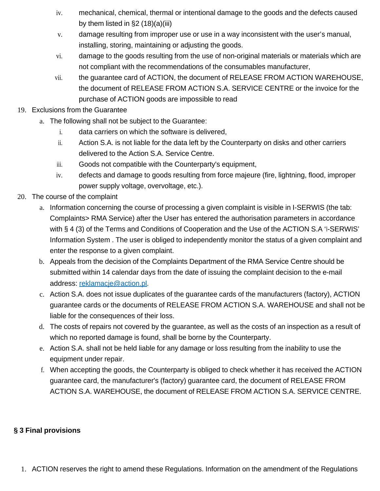- iv. mechanical, chemical, thermal or intentional damage to the goods and the defects caused by them listed in  $\S2(18)(a)(iii)$
- v. damage resulting from improper use or use in a way inconsistent with the user's manual, installing, storing, maintaining or adjusting the goods.
- vi. damage to the goods resulting from the use of non-original materials or materials which are not compliant with the recommendations of the consumables manufacturer,
- vii. the guarantee card of ACTION, the document of RELEASE FROM ACTION WAREHOUSE, the document of RELEASE FROM ACTION S.A. SERVICE CENTRE or the invoice for the purchase of ACTION goods are impossible to read

#### 19. Exclusions from the Guarantee

- a. The following shall not be subject to the Guarantee:
	- i. data carriers on which the software is delivered,
	- ii. Action S.A. is not liable for the data left by the Counterparty on disks and other carriers delivered to the Action S.A. Service Centre.
	- iii. Goods not compatible with the Counterparty's equipment,
	- iv. defects and damage to goods resulting from force majeure (fire, lightning, flood, improper power supply voltage, overvoltage, etc.).
- 20. The course of the complaint
	- a. Information concerning the course of processing a given complaint is visible in I-SERWIS (the tab: Complaints> RMA Service) after the User has entered the authorisation parameters in accordance with § 4 (3) of the Terms and Conditions of Cooperation and the Use of the ACTION S.A 'I-SERWIS' Information System . The user is obliged to independently monitor the status of a given complaint and enter the response to a given complaint.
	- b. Appeals from the decision of the Complaints Department of the RMA Service Centre should be submitted within 14 calendar days from the date of issuing the complaint decision to the e-mail address: reklamacje@action.pl.
	- c. Action S.A. does not issue duplicates of the guarantee cards of the manufacturers (factory), ACTION guarantee cards or the documents of RELEASE FROM ACTION S.A. WAREHOUSE and shall not be liable for the consequences of their loss.
	- d. The costs of repairs not covered by the guarantee, as well as the costs of an inspection as a result of which no reported damage is found, shall be borne by the Counterparty.
	- e. Action S.A. shall not be held liable for any damage or loss resulting from the inability to use the equipment under repair.
	- f. When accepting the goods, the Counterparty is obliged to check whether it has received the ACTION guarantee card, the manufacturer's (factory) guarantee card, the document of RELEASE FROM ACTION S.A. WAREHOUSE, the document of RELEASE FROM ACTION S.A. SERVICE CENTRE.

## **§ 3 Final provisions**